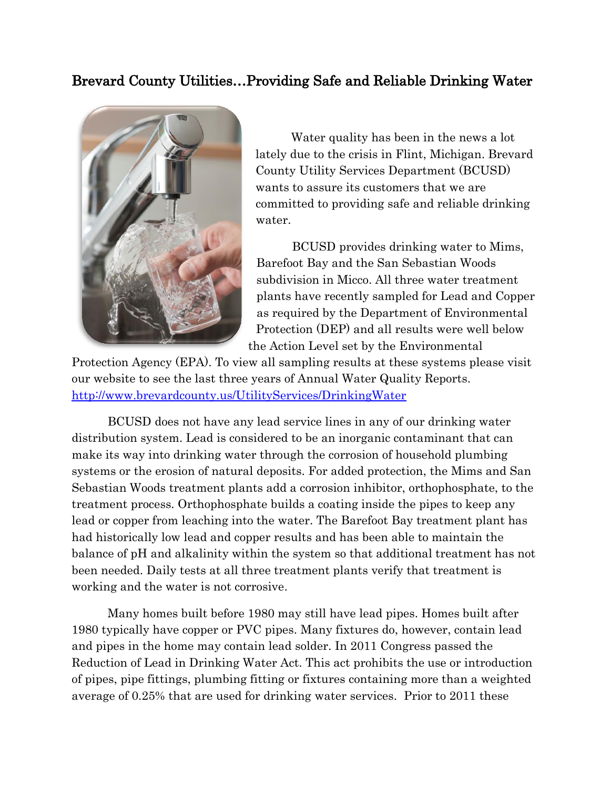## Brevard County Utilities…Providing Safe and Reliable Drinking Water



Water quality has been in the news a lot lately due to the crisis in Flint, Michigan. Brevard County Utility Services Department (BCUSD) wants to assure its customers that we are committed to providing safe and reliable drinking water.

 BCUSD provides drinking water to Mims, Barefoot Bay and the San Sebastian Woods subdivision in Micco. All three water treatment plants have recently sampled for Lead and Copper as required by the Department of Environmental Protection (DEP) and all results were well below the Action Level set by the Environmental

Protection Agency (EPA). To view all sampling results at these systems please visit our website to see the last three years of Annual Water Quality Reports. <http://www.brevardcounty.us/UtilityServices/DrinkingWater>

 BCUSD does not have any lead service lines in any of our drinking water distribution system. Lead is considered to be an inorganic contaminant that can make its way into drinking water through the corrosion of household plumbing systems or the erosion of natural deposits. For added protection, the Mims and San Sebastian Woods treatment plants add a corrosion inhibitor, orthophosphate, to the treatment process. Orthophosphate builds a coating inside the pipes to keep any lead or copper from leaching into the water. The Barefoot Bay treatment plant has had historically low lead and copper results and has been able to maintain the balance of pH and alkalinity within the system so that additional treatment has not been needed. Daily tests at all three treatment plants verify that treatment is working and the water is not corrosive.

 Many homes built before 1980 may still have lead pipes. Homes built after 1980 typically have copper or PVC pipes. Many fixtures do, however, contain lead and pipes in the home may contain lead solder. In 2011 Congress passed the Reduction of Lead in Drinking Water Act. This act prohibits the use or introduction of pipes, pipe fittings, plumbing fitting or fixtures containing more than a weighted average of 0.25% that are used for drinking water services. Prior to 2011 these